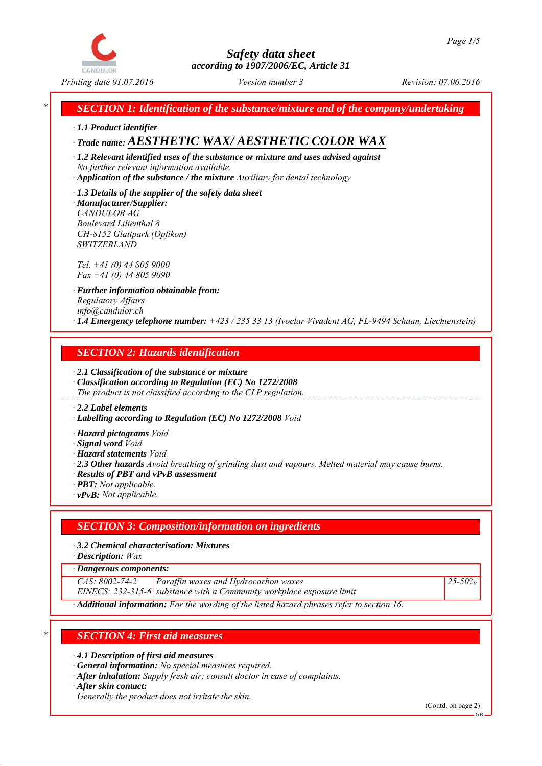

## *Safety data sheet according to 1907/2006/EC, Article 31*

*\* SECTION 1: Identification of the substance/mixture and of the company/undertaking*

*∙ 1.1 Product identifier*

# *∙ Trade name: AESTHETIC WAX/ AESTHETIC COLOR WAX*

*∙ 1.2 Relevant identified uses of the substance or mixture and uses advised against No further relevant information available.*

- *∙ Application of the substance / the mixture Auxiliary for dental technology*
- *∙ 1.3 Details of the supplier of the safety data sheet ∙ Manufacturer/Supplier:*

*CANDULOR AG Boulevard Lilienthal 8 CH-8152 Glattpark (Opfikon) SWITZERLAND*

*Tel. +41 (0) 44 805 9000 Fax +41 (0) 44 805 9090*

*∙ Further information obtainable from: Regulatory Affairs info@candulor.ch ∙ 1.4 Emergency telephone number: +423 / 235 33 13 (Ivoclar Vivadent AG, FL-9494 Schaan, Liechtenstein)*

### *SECTION 2: Hazards identification*

*∙ 2.1 Classification of the substance or mixture ∙ Classification according to Regulation (EC) No 1272/2008*

*The product is not classified according to the CLP regulation.*

### *∙ 2.2 Label elements*

*∙ Labelling according to Regulation (EC) No 1272/2008 Void*

*∙ Hazard pictograms Void*

*∙ Signal word Void*

*∙ Hazard statements Void*

*∙ 2.3 Other hazards Avoid breathing of grinding dust and vapours. Melted material may cause burns.*

*∙ Results of PBT and vPvB assessment*

*∙ PBT: Not applicable.*

*∙ vPvB: Not applicable.*

### *SECTION 3: Composition/information on ingredients*

*∙ 3.2 Chemical characterisation: Mixtures*

*∙ Description: Wax*

*∙ Dangerous components:*

*CAS: 8002-74-2 Paraffin waxes and Hydrocarbon waxes*

*EINECS: 232-315-6 substance with a Community workplace exposure limit*

*25-50%*

*∙ Additional information: For the wording of the listed hazard phrases refer to section 16.*

## *\* SECTION 4: First aid measures*

*∙ 4.1 Description of first aid measures*

*∙ General information: No special measures required.*

*∙ After inhalation: Supply fresh air; consult doctor in case of complaints.*

*∙ After skin contact:*

*Generally the product does not irritate the skin.*

(Contd. on page 2)

GB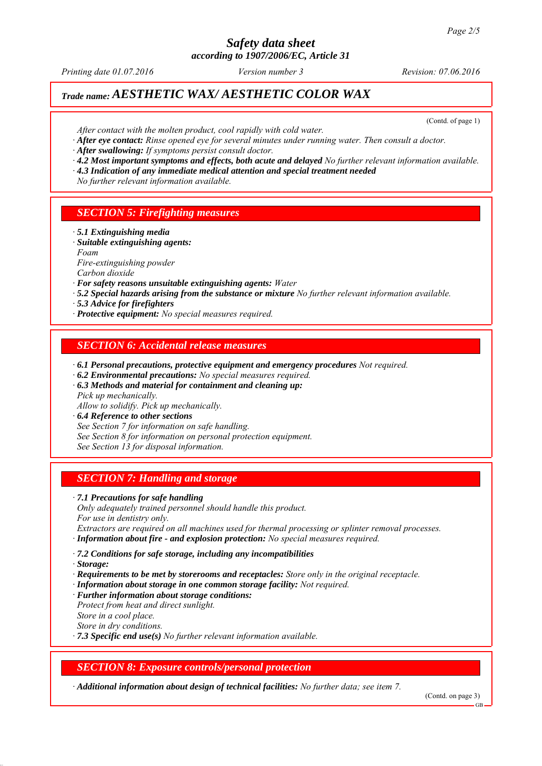# *Safety data sheet*

*according to 1907/2006/EC, Article 31*

*Printing date 01.07.2016 Revision: 07.06.2016 Version number 3*

# *Trade name: AESTHETIC WAX/ AESTHETIC COLOR WAX*

(Contd. of page 1)

- *After contact with the molten product, cool rapidly with cold water.*
- *∙ After eye contact: Rinse opened eye for several minutes under running water. Then consult a doctor.*
- *∙ After swallowing: If symptoms persist consult doctor.*
- *∙ 4.2 Most important symptoms and effects, both acute and delayed No further relevant information available.*
- *∙ 4.3 Indication of any immediate medical attention and special treatment needed*
- *No further relevant information available.*

### *SECTION 5: Firefighting measures*

- *∙ 5.1 Extinguishing media*
- *∙ Suitable extinguishing agents:*
- *Foam*
- *Fire-extinguishing powder*
- *Carbon dioxide*
- *∙ For safety reasons unsuitable extinguishing agents: Water*
- *∙ 5.2 Special hazards arising from the substance or mixture No further relevant information available.*
- *∙ 5.3 Advice for firefighters*
- *∙ Protective equipment: No special measures required.*

### *SECTION 6: Accidental release measures*

- *∙ 6.1 Personal precautions, protective equipment and emergency procedures Not required.*
- *∙ 6.2 Environmental precautions: No special measures required.*
- *∙ 6.3 Methods and material for containment and cleaning up: Pick up mechanically.*
- *Allow to solidify. Pick up mechanically.*
- *∙ 6.4 Reference to other sections*
- *See Section 7 for information on safe handling.*
- *See Section 8 for information on personal protection equipment.*

*See Section 13 for disposal information.*

### *SECTION 7: Handling and storage*

### *∙ 7.1 Precautions for safe handling*

*Only adequately trained personnel should handle this product. For use in dentistry only.*

*Extractors are required on all machines used for thermal processing or splinter removal processes. ∙ Information about fire - and explosion protection: No special measures required.*

- *∙ 7.2 Conditions for safe storage, including any incompatibilities*
- *∙ Storage:*
- *∙ Requirements to be met by storerooms and receptacles: Store only in the original receptacle.*
- *∙ Information about storage in one common storage facility: Not required.*
- *∙ Further information about storage conditions: Protect from heat and direct sunlight. Store in a cool place.*

*Store in dry conditions.*

*∙ 7.3 Specific end use(s) No further relevant information available.*

### *SECTION 8: Exposure controls/personal protection*

*∙ Additional information about design of technical facilities: No further data; see item 7.*

(Contd. on page 3)

GB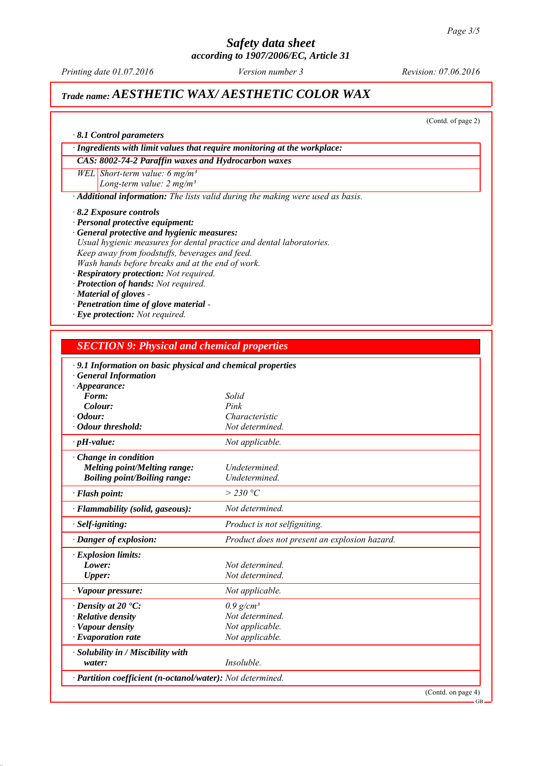# *Safety data sheet*

*according to 1907/2006/EC, Article 31*

*Printing date 01.07.2016 Revision: 07.06.2016 Version number 3*

# *Trade name: AESTHETIC WAX/ AESTHETIC COLOR WAX*

(Contd. of page 2)

GB

*∙ Ingredients with limit values that require monitoring at the workplace:*

*CAS: 8002-74-2 Paraffin waxes and Hydrocarbon waxes*

*WEL Short-term value: 6 mg/m³ Long-term value: 2 mg/m³*

*∙ Additional information: The lists valid during the making were used as basis.*

*∙ 8.2 Exposure controls*

*∙ 8.1 Control parameters*

*∙ Personal protective equipment:*

- *∙ General protective and hygienic measures: Usual hygienic measures for dental practice and dental laboratories. Keep away from foodstuffs, beverages and feed. Wash hands before breaks and at the end of work.*
- *∙ Respiratory protection: Not required.*
- *∙ Protection of hands: Not required.*
- *∙ Material of gloves*
- *∙ Penetration time of glove material*
- *∙ Eye protection: Not required.*

### *SECTION 9: Physical and chemical properties*

| $\cdot$ 9.1 Information on basic physical and chemical properties |                                               |  |
|-------------------------------------------------------------------|-----------------------------------------------|--|
| <b>General Information</b>                                        |                                               |  |
| $\cdot$ Appearance:<br>Form:                                      | Solid                                         |  |
| Colour:                                                           | Pink                                          |  |
| $\cdot$ Odour:                                                    | Characteristic                                |  |
| · Odour threshold:                                                | Not determined.                               |  |
| $\cdot$ pH-value:                                                 | Not applicable.                               |  |
| $\cdot$ Change in condition                                       |                                               |  |
| <b>Melting point/Melting range:</b>                               | <i>Undetermined</i>                           |  |
| <b>Boiling point/Boiling range:</b>                               | Undetermined.                                 |  |
| · Flash point:                                                    | $>$ 230 °C                                    |  |
| · Flammability (solid, gaseous):                                  | Not determined.                               |  |
| · Self-igniting:                                                  | Product is not selfigniting.                  |  |
| · Danger of explosion:                                            | Product does not present an explosion hazard. |  |
| · Explosion limits:                                               |                                               |  |
| Lower:                                                            | Not determined.                               |  |
| <b>Upper:</b>                                                     | Not determined.                               |  |
| · Vapour pressure:                                                | Not applicable.                               |  |
| $\cdot$ Density at 20 $\cdot$ C:                                  | $0.9$ g/cm <sup>3</sup>                       |  |
| · Relative density                                                | Not determined.                               |  |
| · Vapour density                                                  | Not applicable.                               |  |
| $\cdot$ Evaporation rate                                          | Not applicable.                               |  |
| · Solubility in / Miscibility with                                |                                               |  |
| water:                                                            | Insoluble.                                    |  |
| · Partition coefficient (n-octanol/water): Not determined.        |                                               |  |
|                                                                   | (Contd. on page 4)                            |  |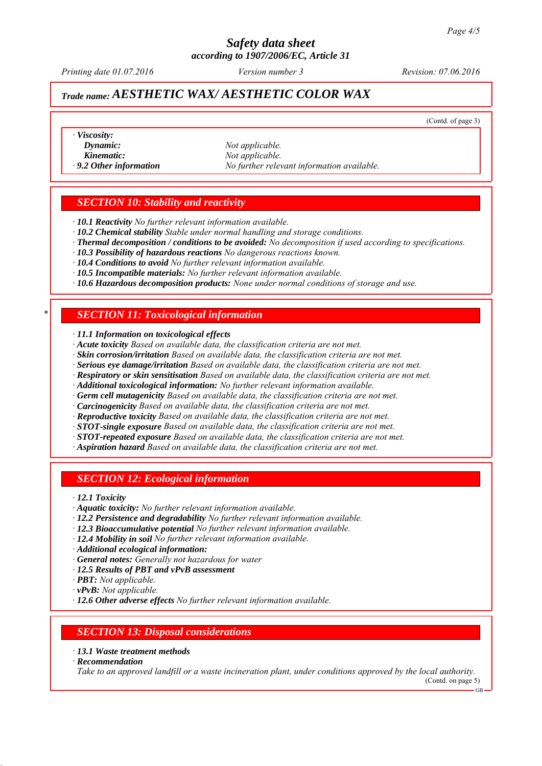### *Safety data sheet according to 1907/2006/EC, Article 31*

*Printing date 01.07.2016 Revision: 07.06.2016 Version number 3*

# *Trade name: AESTHETIC WAX/ AESTHETIC COLOR WAX*

(Contd. of page 3)

*∙ Viscosity:*

*Dynamic: Not applicable. Kinematic: Not applicable. ∙ 9.2 Other information No further relevant information available.*

### *SECTION 10: Stability and reactivity*

*∙ 10.1 Reactivity No further relevant information available.*

- *∙ 10.2 Chemical stability Stable under normal handling and storage conditions.*
- *∙ Thermal decomposition / conditions to be avoided: No decomposition if used according to specifications.*
- *∙ 10.3 Possibility of hazardous reactions No dangerous reactions known.*
- *∙ 10.4 Conditions to avoid No further relevant information available.*
- *∙ 10.5 Incompatible materials: No further relevant information available.*
- *∙ 10.6 Hazardous decomposition products: None under normal conditions of storage and use.*

### *\* SECTION 11: Toxicological information*

*∙ 11.1 Information on toxicological effects*

- *∙ Acute toxicity Based on available data, the classification criteria are not met.*
- *∙ Skin corrosion/irritation Based on available data, the classification criteria are not met.*
- *∙ Serious eye damage/irritation Based on available data, the classification criteria are not met.*
- *∙ Respiratory or skin sensitisation Based on available data, the classification criteria are not met.*
- *∙ Additional toxicological information: No further relevant information available.*
- *∙ Germ cell mutagenicity Based on available data, the classification criteria are not met.*
- *∙ Carcinogenicity Based on available data, the classification criteria are not met.*
- *∙ Reproductive toxicity Based on available data, the classification criteria are not met.*
- *∙ STOT-single exposure Based on available data, the classification criteria are not met.*
- *∙ STOT-repeated exposure Based on available data, the classification criteria are not met.*
- *∙ Aspiration hazard Based on available data, the classification criteria are not met.*

### *SECTION 12: Ecological information*

*∙ 12.1 Toxicity*

- *∙ Aquatic toxicity: No further relevant information available.*
- *∙ 12.2 Persistence and degradability No further relevant information available.*
- *∙ 12.3 Bioaccumulative potential No further relevant information available.*
- *∙ 12.4 Mobility in soil No further relevant information available.*
- *∙ Additional ecological information:*
- *∙ General notes: Generally not hazardous for water*
- *∙ 12.5 Results of PBT and vPvB assessment*
- *∙ PBT: Not applicable.*
- *∙ vPvB: Not applicable.*
- *∙ 12.6 Other adverse effects No further relevant information available.*

### *SECTION 13: Disposal considerations*

*∙ 13.1 Waste treatment methods*

*∙ Recommendation*

*Take to an approved landfill or a waste incineration plant, under conditions approved by the local authority.* (Contd. on page 5)